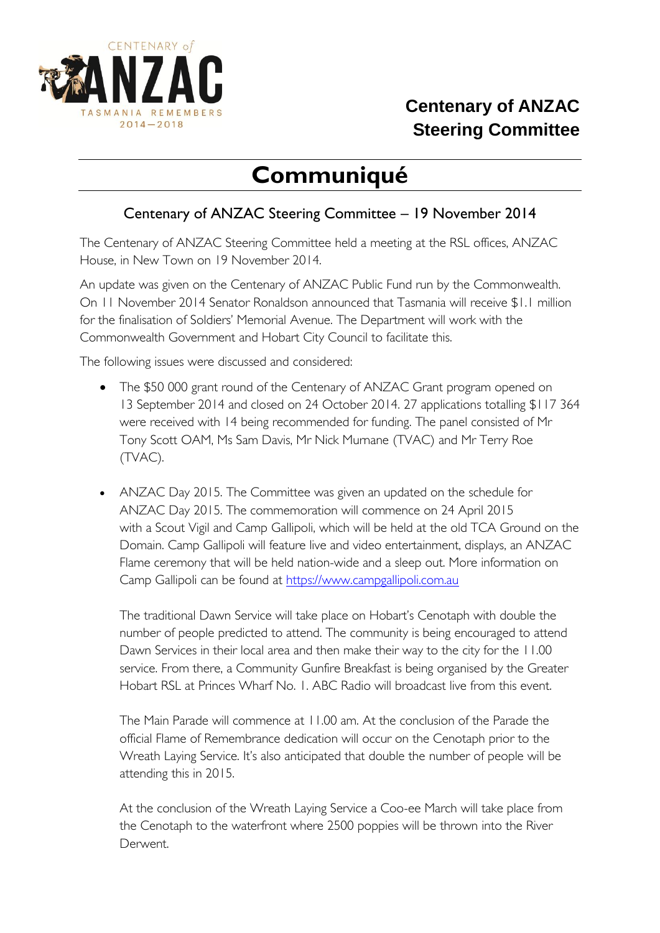

## **Centenary of ANZAC Steering Committee**

## **Communiqué**

## Centenary of ANZAC Steering Committee – 19 November 2014

The Centenary of ANZAC Steering Committee held a meeting at the RSL offices, ANZAC House, in New Town on 19 November 2014.

An update was given on the Centenary of ANZAC Public Fund run by the Commonwealth. On 11 November 2014 Senator Ronaldson announced that Tasmania will receive \$1.1 million for the finalisation of Soldiers' Memorial Avenue. The Department will work with the Commonwealth Government and Hobart City Council to facilitate this.

The following issues were discussed and considered:

- The \$50 000 grant round of the Centenary of ANZAC Grant program opened on 13 September 2014 and closed on 24 October 2014. 27 applications totalling \$117 364 were received with 14 being recommended for funding. The panel consisted of Mr Tony Scott OAM, Ms Sam Davis, Mr Nick Murnane (TVAC) and Mr Terry Roe (TVAC).
- ANZAC Day 2015. The Committee was given an updated on the schedule for ANZAC Day 2015. The commemoration will commence on 24 April 2015 with a Scout Vigil and Camp Gallipoli, which will be held at the old TCA Ground on the Domain. Camp Gallipoli will feature live and video entertainment, displays, an ANZAC Flame ceremony that will be held nation-wide and a sleep out. More information on Camp Gallipoli can be found at [https://www.campgallipoli.com.au](https://www.campgallipoli.com.au/)

The traditional Dawn Service will take place on Hobart's Cenotaph with double the number of people predicted to attend. The community is being encouraged to attend Dawn Services in their local area and then make their way to the city for the 11.00 service. From there, a Community Gunfire Breakfast is being organised by the Greater Hobart RSL at Princes Wharf No. 1. ABC Radio will broadcast live from this event.

The Main Parade will commence at 11.00 am. At the conclusion of the Parade the official Flame of Remembrance dedication will occur on the Cenotaph prior to the Wreath Laying Service. It's also anticipated that double the number of people will be attending this in 2015.

At the conclusion of the Wreath Laying Service a Coo-ee March will take place from the Cenotaph to the waterfront where 2500 poppies will be thrown into the River Derwent.